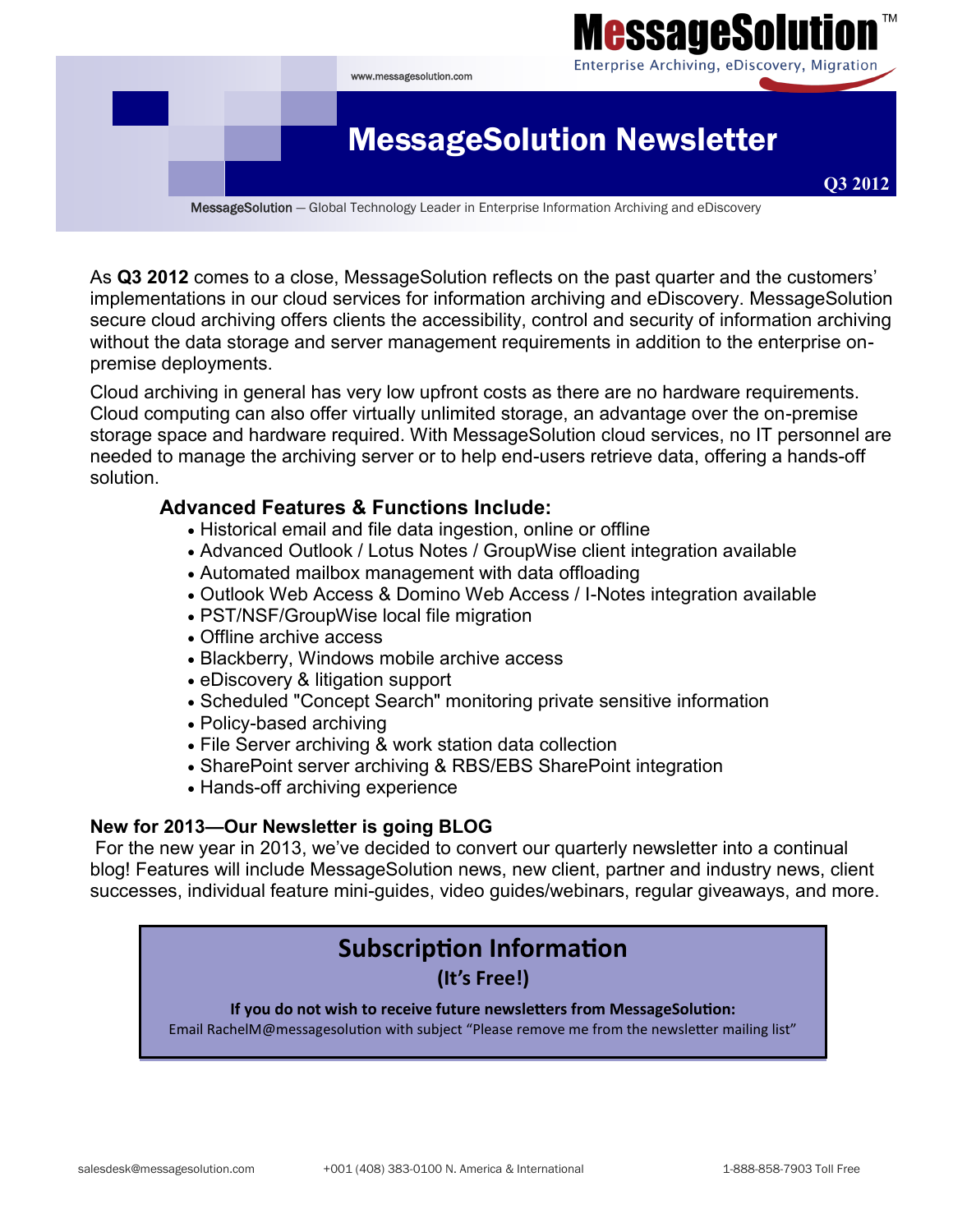

As **Q3 2012** comes to a close, MessageSolution reflects on the past quarter and the customers' implementations in our cloud services for information archiving and eDiscovery. MessageSolution secure cloud archiving offers clients the accessibility, control and security of information archiving without the data storage and server management requirements in addition to the enterprise onpremise deployments.

Cloud archiving in general has very low upfront costs as there are no hardware requirements. Cloud computing can also offer virtually unlimited storage, an advantage over the on-premise storage space and hardware required. With MessageSolution cloud services, no IT personnel are needed to manage the archiving server or to help end-users retrieve data, offering a hands-off solution.

## **Advanced Features & Functions Include:**

- Historical email and file data ingestion, online or offline
- Advanced Outlook / Lotus Notes / GroupWise client integration available
- Automated mailbox management with data offloading
- Outlook Web Access & Domino Web Access / I-Notes integration available
- PST/NSF/GroupWise local file migration
- Offline archive access
- Blackberry, Windows mobile archive access
- eDiscovery & litigation support
- Scheduled "Concept Search" monitoring private sensitive information
- Policy-based archiving
- File Server archiving & work station data collection
- SharePoint server archiving & RBS/EBS SharePoint integration
- Hands-off archiving experience

#### **New for 2013—Our Newsletter is going BLOG**

For the new year in 2013, we've decided to convert our quarterly newsletter into a continual blog! Features will include MessageSolution news, new client, partner and industry news, client successes, individual feature mini-guides, video guides/webinars, regular giveaways, and more.

# **Subscription Information**

## **(It's Free!)**

**If you do not wish to receive future newsletters from MessageSolution:** Email RachelM@messagesolution with subject "Please remove me from the newsletter mailing list"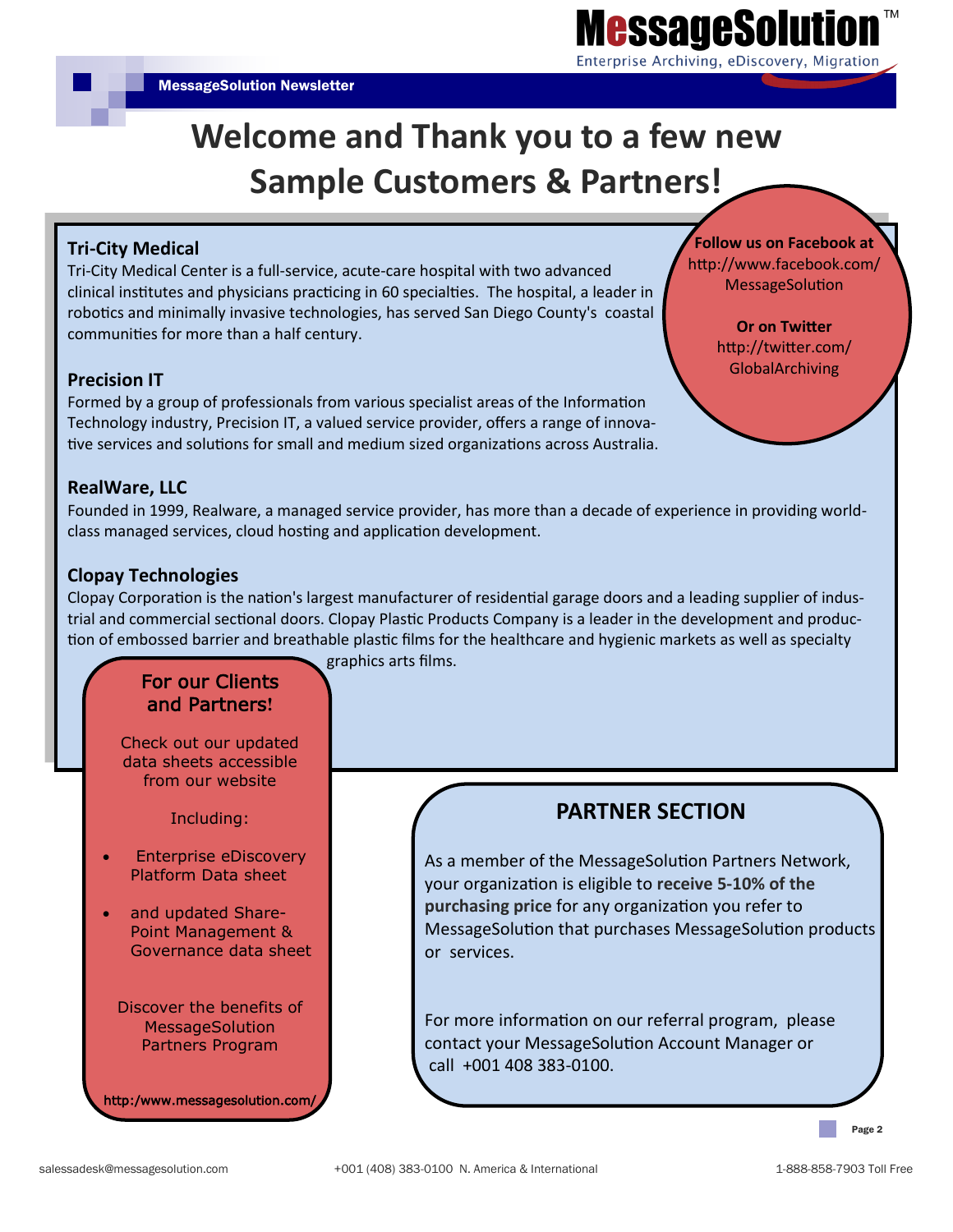**Follow us on Facebook at** http://www.facebook.com/ MessageSolution

> **Or on Twitter**  http://twitter.com/ **GlobalArchiving**

# **Welcome and Thank you to a few new Sample Customers & Partners!**

#### **Tri-City Medical**

Tri-City Medical Center is a full-service, acute-care hospital with two advanced clinical institutes and physicians practicing in 60 specialties. The hospital, a leader in robotics and minimally invasive technologies, has served San Diego County's coastal communities for more than a half century.

#### **Precision IT**

Formed by a group of professionals from various specialist areas of the Information Technology industry, Precision IT, a valued service provider, offers a range of innovative services and solutions for small and medium sized organizations across Australia.

#### **RealWare, LLC**

Founded in 1999, Realware, a managed service provider, has more than a decade of experience in providing worldclass managed services, cloud hosting and application development.

#### **Clopay Technologies**

Clopay Corporation is the nation's largest manufacturer of residential garage doors and a leading supplier of industrial and commercial sectional doors. Clopay Plastic Products Company is a leader in the development and production of embossed barrier and breathable plastic films for the healthcare and hygienic markets as well as specialty

## For our Clients and Partners**!**

Check out our updated data sheets accessible from our website

Including:

- Enterprise eDiscovery Platform Data sheet
- and updated Share-Point Management & Governance data sheet

Discover the benefits of MessageSolution Partners Program

http:/www.messagesolution.com/

graphics arts films.

# **PARTNER SECTION**

As a member of the MessageSolution Partners Network, your organization is eligible to **receive 5-10% of the purchasing price** for any organization you refer to MessageSolution that purchases MessageSolution products or services.

For more information on our referral program, please contact your MessageSolution Account Manager or call +001 408 383-0100.

Page 2